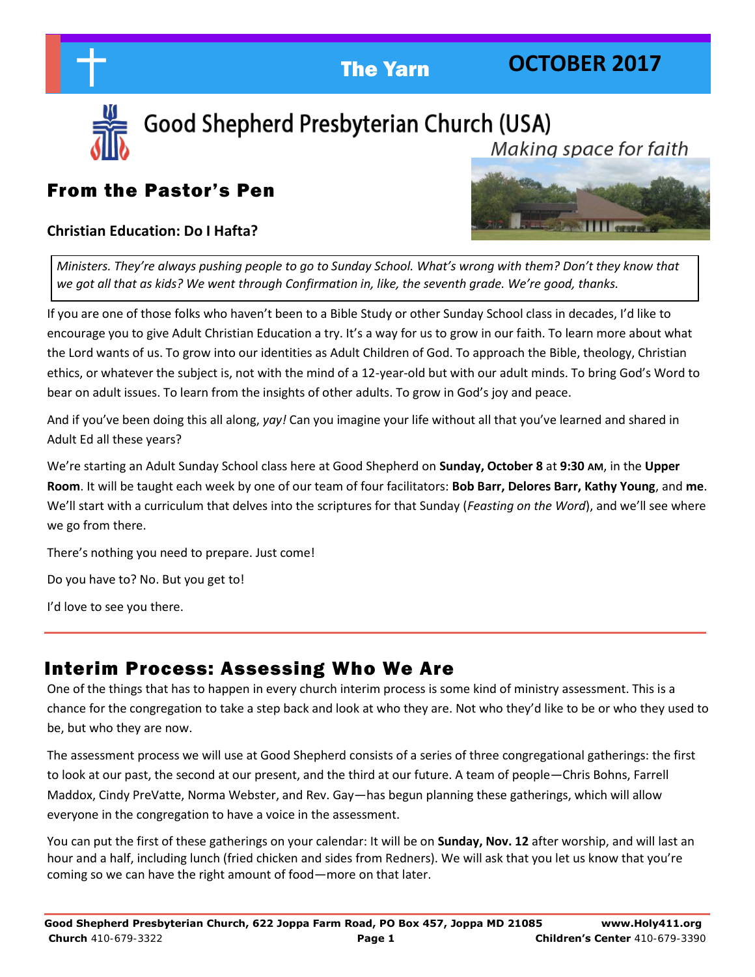

### **OCTOBER 2017**



Good Shepherd Presbyterian Church (USA) Makina space for faith

### From the Pastor's Pen

### **Christian Education: Do I Hafta?**



*Ministers. They're always pushing people to go to Sunday School. What's wrong with them? Don't they know that we got all that as kids? We went through Confirmation in, like, the seventh grade. We're good, thanks.*

If you are one of those folks who haven't been to a Bible Study or other Sunday School class in decades, I'd like to encourage you to give Adult Christian Education a try. It's a way for us to grow in our faith. To learn more about what the Lord wants of us. To grow into our identities as Adult Children of God. To approach the Bible, theology, Christian ethics, or whatever the subject is, not with the mind of a 12-year-old but with our adult minds. To bring God's Word to bear on adult issues. To learn from the insights of other adults. To grow in God's joy and peace.

And if you've been doing this all along, *yay!* Can you imagine your life without all that you've learned and shared in Adult Ed all these years?

We're starting an Adult Sunday School class here at Good Shepherd on **Sunday, October 8** at **9:30 AM**, in the **Upper Room**. It will be taught each week by one of our team of four facilitators: **Bob Barr, Delores Barr, Kathy Young**, and **me**. We'll start with a curriculum that delves into the scriptures for that Sunday (*Feasting on the Word*), and we'll see where we go from there.

There's nothing you need to prepare. Just come!

Do you have to? No. But you get to!

I'd love to see you there.

### Interim Process: Assessing Who We Are

One of the things that has to happen in every church interim process is some kind of ministry assessment. This is a chance for the congregation to take a step back and look at who they are. Not who they'd like to be or who they used to be, but who they are now.

The assessment process we will use at Good Shepherd consists of a series of three congregational gatherings: the first to look at our past, the second at our present, and the third at our future. A team of people—Chris Bohns, Farrell Maddox, Cindy PreVatte, Norma Webster, and Rev. Gay—has begun planning these gatherings, which will allow everyone in the congregation to have a voice in the assessment.

You can put the first of these gatherings on your calendar: It will be on **Sunday, Nov. 12** after worship, and will last an hour and a half, including lunch (fried chicken and sides from Redners). We will ask that you let us know that you're coming so we can have the right amount of food—more on that later.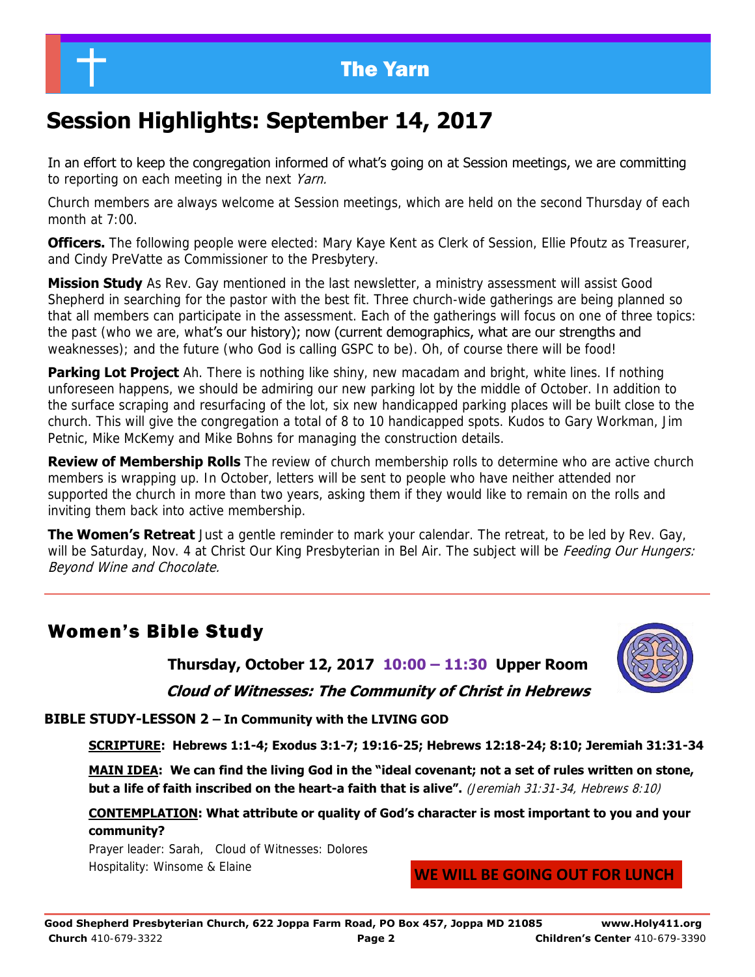### The Yarn

## **Session Highlights: September 14, 2017**

In an effort to keep the congregation informed of what's going on at Session meetings, we are committing to reporting on each meeting in the next Yarn.

Church members are always welcome at Session meetings, which are held on the second Thursday of each month at  $7:00$ .

**Officers.** The following people were elected: Mary Kaye Kent as Clerk of Session, Ellie Pfoutz as Treasurer, and Cindy PreVatte as Commissioner to the Presbytery.

**Mission Study** As Rev. Gay mentioned in the last newsletter, a ministry assessment will assist Good Shepherd in searching for the pastor with the best fit. Three church-wide gatherings are being planned so that all members can participate in the assessment. Each of the gatherings will focus on one of three topics: the past (who we are, what's our history); now (current demographics, what are our strengths and weaknesses); and the future (who God is calling GSPC to be). Oh, of course there will be food!

**Parking Lot Project** Ah. There is nothing like shiny, new macadam and bright, white lines. If nothing unforeseen happens, we should be admiring our new parking lot by the middle of October. In addition to the surface scraping and resurfacing of the lot, six new handicapped parking places will be built close to the church. This will give the congregation a total of 8 to 10 handicapped spots. Kudos to Gary Workman, Jim Petnic, Mike McKemy and Mike Bohns for managing the construction details.

**Review of Membership Rolls** The review of church membership rolls to determine who are active church members is wrapping up. In October, letters will be sent to people who have neither attended nor supported the church in more than two years, asking them if they would like to remain on the rolls and inviting them back into active membership.

**The Women's Retreat** Just a gentle reminder to mark your calendar. The retreat, to be led by Rev. Gay, will be Saturday, Nov. 4 at Christ Our King Presbyterian in Bel Air. The subject will be *Feeding Our Hungers:* Beyond Wine and Chocolate.

### Women's Bible Study

**Thursday, October 12, 2017 10:00 – 11:30 Upper Room Cloud of Witnesses: The Community of Christ in Hebrews** 



**BIBLE STUDY-LESSON 2 – In Community with the LIVING GOD** 

**SCRIPTURE: Hebrews 1:1-4; Exodus 3:1-7; 19:16-25; Hebrews 12:18-24; 8:10; Jeremiah 31:31-34**

**MAIN IDEA: We can find the living God in the "ideal covenant; not a set of rules written on stone, but a life of faith inscribed on the heart-a faith that is alive".** (Jeremiah 31:31-34, Hebrews 8:10)

**CONTEMPLATION: What attribute or quality of God's character is most important to you and your community?** 

Prayer leader: Sarah, Cloud of Witnesses: Dolores Hospitality: Winsome & Elaine

**WE WILL BE GOING OUT FOR LUNCH**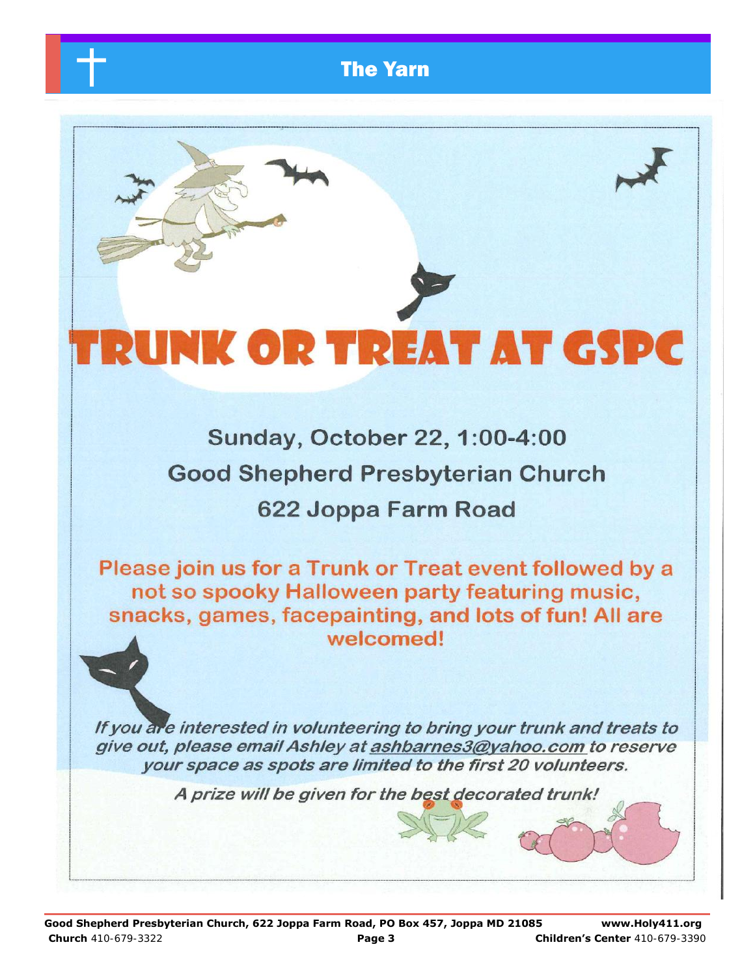

# **INK OR TREAT AT GSPC**

Sunday, October 22, 1:00-4:00 **Good Shepherd Presbyterian Church** 622 Joppa Farm Road

Please join us for a Trunk or Treat event followed by a not so spooky Halloween party featuring music, snacks, games, facepainting, and lots of fun! All are welcomed!

If you are interested in volunteering to bring your trunk and treats to give out, please email Ashley at ashbarnes3@yahoo.com to reserve your space as spots are limited to the first 20 volunteers.

A prize will be given for the best decorated trunk!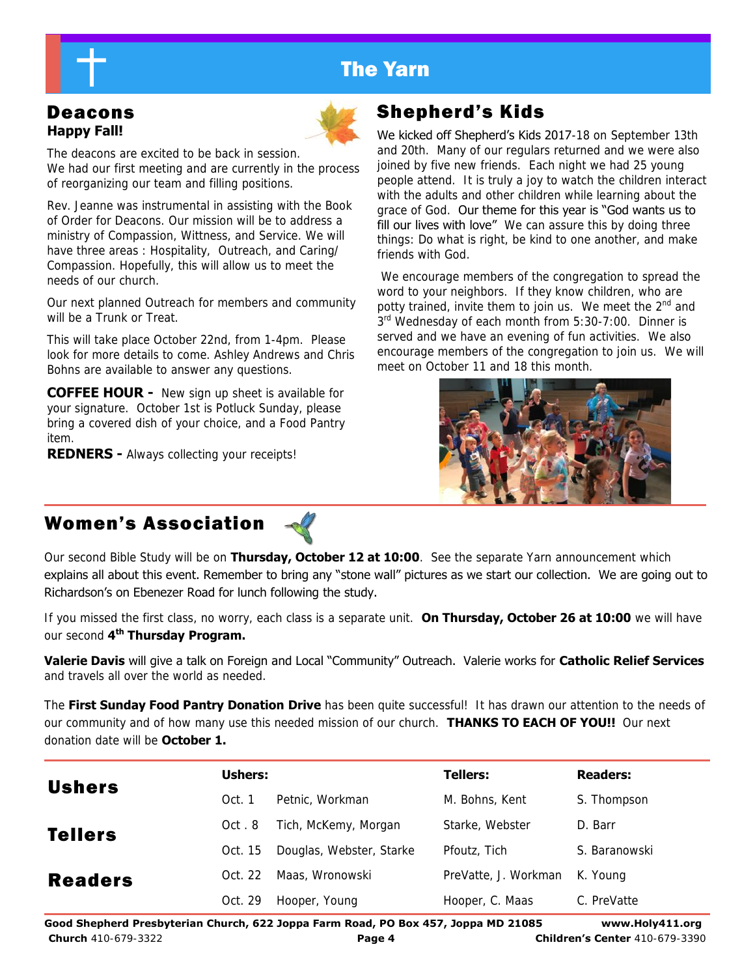### The Yarn

# **Happy Fall!**



The deacons are excited to be back in session. We had our first meeting and are currently in the process of reorganizing our team and filling positions.

Rev. Jeanne was instrumental in assisting with the Book of Order for Deacons. Our mission will be to address a ministry of Compassion, Wittness, and Service. We will have three areas : Hospitality, Outreach, and Caring/ Compassion. Hopefully, this will allow us to meet the needs of our church.

Our next planned Outreach for members and community will be a Trunk or Treat.

This will take place October 22nd, from 1-4pm. Please look for more details to come. Ashley Andrews and Chris Bohns are available to answer any questions.

**COFFEE HOUR -** New sign up sheet is available for your signature. October 1st is Potluck Sunday, please bring a covered dish of your choice, and a Food Pantry item.

**REDNERS -** Always collecting your receipts!

### Deacons **Shepherd's Kids**

We kicked off Shepherd's Kids 2017-18 on September 13th and 20th. Many of our regulars returned and we were also joined by five new friends. Each night we had 25 young people attend. It is truly a joy to watch the children interact with the adults and other children while learning about the grace of God. Our theme for this year is "God wants us to fill our lives with love" We can assure this by doing three things: Do what is right, be kind to one another, and make friends with God.

 We encourage members of the congregation to spread the word to your neighbors. If they know children, who are potty trained, invite them to join us. We meet the 2<sup>nd</sup> and 3<sup>rd</sup> Wednesday of each month from 5:30-7:00. Dinner is served and we have an evening of fun activities. We also encourage members of the congregation to join us. We will meet on October 11 and 18 this month.



### Women's Association

Our second Bible Study will be on **Thursday, October 12 at 10:00**. See the separate Yarn announcement which explains all about this event. Remember to bring any "stone wall" pictures as we start our collection. We are going out to Richardson's on Ebenezer Road for lunch following the study.

If you missed the first class, no worry, each class is a separate unit. **On Thursday, October 26 at 10:00** we will have our second **4th Thursday Program.** 

**Valerie Davis** will give a talk on Foreign and Local "Community" Outreach. Valerie works for **Catholic Relief Services** and travels all over the world as needed.

The **First Sunday Food Pantry Donation Drive** has been quite successful! It has drawn our attention to the needs of our community and of how many use this needed mission of our church. **THANKS TO EACH OF YOU!!** Our next donation date will be **October 1.** 

| <b>Ushers</b>  | Ushers: |                          | <b>Tellers:</b>      | <b>Readers:</b> |
|----------------|---------|--------------------------|----------------------|-----------------|
|                | Oct. 1  | Petnic, Workman          | M. Bohns, Kent       | S. Thompson     |
| <b>Tellers</b> | Oct.8   | Tich, McKemy, Morgan     | Starke, Webster      | D. Barr         |
|                | Oct. 15 | Douglas, Webster, Starke | Pfoutz, Tich         | S. Baranowski   |
| <b>Readers</b> | Oct. 22 | Maas, Wronowski          | PreVatte, J. Workman | K. Young        |
|                | Oct. 29 | Hooper, Young            | Hooper, C. Maas      | C. PreVatte     |